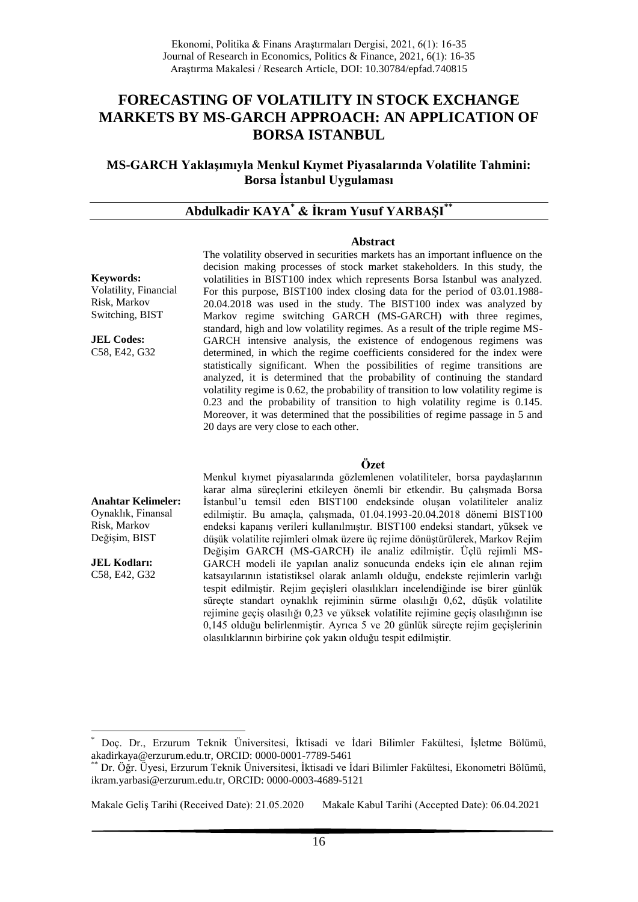# **FORECASTING OF VOLATILITY IN STOCK EXCHANGE MARKETS BY MS-GARCH APPROACH: AN APPLICATION OF BORSA ISTANBUL**

**MS-GARCH Yaklaşımıyla Menkul Kıymet Piyasalarında Volatilite Tahmini: Borsa İstanbul Uygulaması**

# **Abdulkadir KAYA\* & İkram Yusuf YARBAŞI\*\***

#### **Abstract**

**Keywords:** Volatility, Financial Risk, Markov Switching, BIST

**JEL Codes:** C58, E42, G32

The volatility observed in securities markets has an important influence on the decision making processes of stock market stakeholders. In this study, the volatilities in BIST100 index which represents Borsa Istanbul was analyzed. For this purpose, BIST100 index closing data for the period of 03.01.1988- 20.04.2018 was used in the study. The BIST100 index was analyzed by Markov regime switching GARCH (MS-GARCH) with three regimes, standard, high and low volatility regimes. As a result of the triple regime MS-GARCH intensive analysis, the existence of endogenous regimens was determined, in which the regime coefficients considered for the index were statistically significant. When the possibilities of regime transitions are analyzed, it is determined that the probability of continuing the standard volatility regime is 0.62, the probability of transition to low volatility regime is 0.23 and the probability of transition to high volatility regime is 0.145. Moreover, it was determined that the possibilities of regime passage in 5 and 20 days are very close to each other.

### **Özet**

**Anahtar Kelimeler:** Oynaklık, Finansal Risk, Markov Değişim, BIST

**JEL Kodları:** C58, E42, G32

1

Menkul kıymet piyasalarında gözlemlenen volatiliteler, borsa paydaşlarının karar alma süreçlerini etkileyen önemli bir etkendir. Bu çalışmada Borsa İstanbul'u temsil eden BIST100 endeksinde oluşan volatiliteler analiz edilmiştir. Bu amaçla, çalışmada, 01.04.1993-20.04.2018 dönemi BIST100 endeksi kapanış verileri kullanılmıştır. BIST100 endeksi standart, yüksek ve düşük volatilite rejimleri olmak üzere üç rejime dönüştürülerek, Markov Rejim Değişim GARCH (MS-GARCH) ile analiz edilmiştir. Üçlü rejimli MS-GARCH modeli ile yapılan analiz sonucunda endeks için ele alınan rejim katsayılarının istatistiksel olarak anlamlı olduğu, endekste rejimlerin varlığı tespit edilmiştir. Rejim geçişleri olasılıkları incelendiğinde ise birer günlük süreçte standart oynaklık rejiminin sürme olasılığı 0,62, düşük volatilite rejimine geçiş olasılığı 0,23 ve yüksek volatilite rejimine geçiş olasılığının ise 0,145 olduğu belirlenmiştir. Ayrıca 5 ve 20 günlük süreçte rejim geçişlerinin olasılıklarının birbirine çok yakın olduğu tespit edilmiştir.

<sup>\*</sup> Doç. Dr., Erzurum Teknik Üniversitesi, İktisadi ve İdari Bilimler Fakültesi, İşletme Bölümü, akadirkaya@erzurum.edu.tr, ORCID: 0000-0001-7789-5461

Dr. Öğr. Üyesi, Erzurum Teknik Üniversitesi, İktisadi ve İdari Bilimler Fakültesi, Ekonometri Bölümü, ikram.yarbasi@erzurum.edu.tr, ORCID: 0000-0003-4689-5121

Makale Geliş Tarihi (Received Date): 21.05.2020 Makale Kabul Tarihi (Accepted Date): 06.04.2021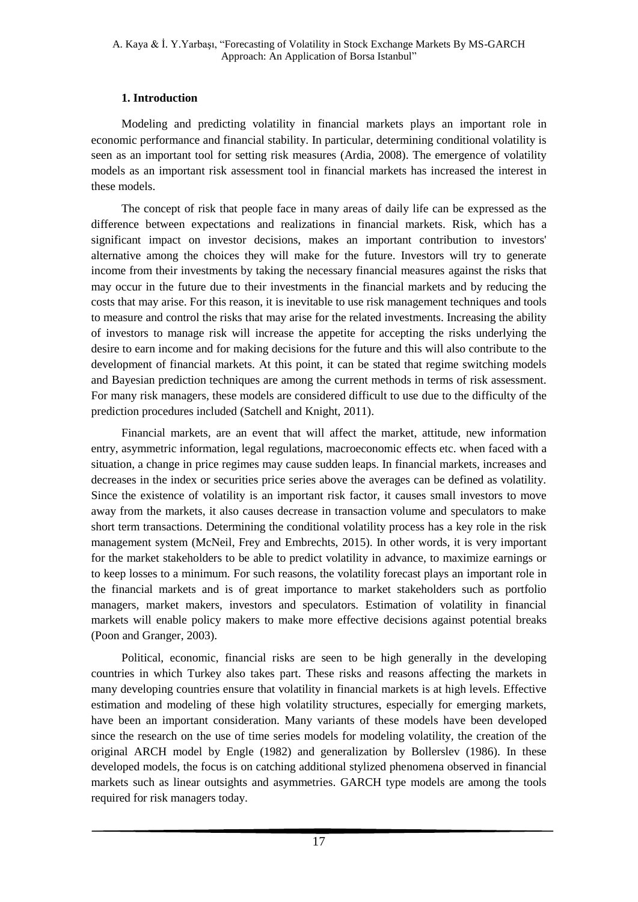# **1. Introduction**

Modeling and predicting volatility in financial markets plays an important role in economic performance and financial stability. In particular, determining conditional volatility is seen as an important tool for setting risk measures (Ardia, 2008). The emergence of volatility models as an important risk assessment tool in financial markets has increased the interest in these models.

The concept of risk that people face in many areas of daily life can be expressed as the difference between expectations and realizations in financial markets. Risk, which has a significant impact on investor decisions, makes an important contribution to investors' alternative among the choices they will make for the future. Investors will try to generate income from their investments by taking the necessary financial measures against the risks that may occur in the future due to their investments in the financial markets and by reducing the costs that may arise. For this reason, it is inevitable to use risk management techniques and tools to measure and control the risks that may arise for the related investments. Increasing the ability of investors to manage risk will increase the appetite for accepting the risks underlying the desire to earn income and for making decisions for the future and this will also contribute to the development of financial markets. At this point, it can be stated that regime switching models and Bayesian prediction techniques are among the current methods in terms of risk assessment. For many risk managers, these models are considered difficult to use due to the difficulty of the prediction procedures included (Satchell and Knight, 2011).

Financial markets, are an event that will affect the market, attitude, new information entry, asymmetric information, legal regulations, macroeconomic effects etc. when faced with a situation, a change in price regimes may cause sudden leaps. In financial markets, increases and decreases in the index or securities price series above the averages can be defined as volatility. Since the existence of volatility is an important risk factor, it causes small investors to move away from the markets, it also causes decrease in transaction volume and speculators to make short term transactions. Determining the conditional volatility process has a key role in the risk management system (McNeil, Frey and Embrechts, 2015). In other words, it is very important for the market stakeholders to be able to predict volatility in advance, to maximize earnings or to keep losses to a minimum. For such reasons, the volatility forecast plays an important role in the financial markets and is of great importance to market stakeholders such as portfolio managers, market makers, investors and speculators. Estimation of volatility in financial markets will enable policy makers to make more effective decisions against potential breaks (Poon and Granger, 2003).

Political, economic, financial risks are seen to be high generally in the developing countries in which Turkey also takes part. These risks and reasons affecting the markets in many developing countries ensure that volatility in financial markets is at high levels. Effective estimation and modeling of these high volatility structures, especially for emerging markets, have been an important consideration. Many variants of these models have been developed since the research on the use of time series models for modeling volatility, the creation of the original ARCH model by Engle (1982) and generalization by Bollerslev (1986). In these developed models, the focus is on catching additional stylized phenomena observed in financial markets such as linear outsights and asymmetries. GARCH type models are among the tools required for risk managers today.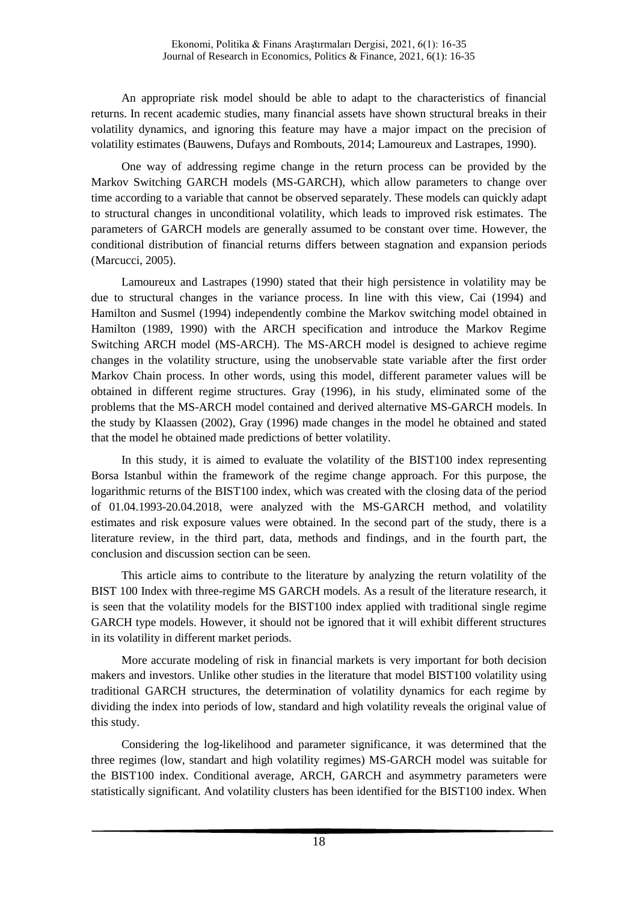An appropriate risk model should be able to adapt to the characteristics of financial returns. In recent academic studies, many financial assets have shown structural breaks in their volatility dynamics, and ignoring this feature may have a major impact on the precision of volatility estimates (Bauwens, Dufays and Rombouts, 2014; Lamoureux and Lastrapes, 1990).

One way of addressing regime change in the return process can be provided by the Markov Switching GARCH models (MS-GARCH), which allow parameters to change over time according to a variable that cannot be observed separately. These models can quickly adapt to structural changes in unconditional volatility, which leads to improved risk estimates. The parameters of GARCH models are generally assumed to be constant over time. However, the conditional distribution of financial returns differs between stagnation and expansion periods (Marcucci, 2005).

Lamoureux and Lastrapes (1990) stated that their high persistence in volatility may be due to structural changes in the variance process. In line with this view, Cai (1994) and Hamilton and Susmel (1994) independently combine the Markov switching model obtained in Hamilton (1989, 1990) with the ARCH specification and introduce the Markov Regime Switching ARCH model (MS-ARCH). The MS-ARCH model is designed to achieve regime changes in the volatility structure, using the unobservable state variable after the first order Markov Chain process. In other words, using this model, different parameter values will be obtained in different regime structures. Gray (1996), in his study, eliminated some of the problems that the MS-ARCH model contained and derived alternative MS-GARCH models. In the study by Klaassen (2002), Gray (1996) made changes in the model he obtained and stated that the model he obtained made predictions of better volatility.

In this study, it is aimed to evaluate the volatility of the BIST100 index representing Borsa Istanbul within the framework of the regime change approach. For this purpose, the logarithmic returns of the BIST100 index, which was created with the closing data of the period of 01.04.1993-20.04.2018, were analyzed with the MS-GARCH method, and volatility estimates and risk exposure values were obtained. In the second part of the study, there is a literature review, in the third part, data, methods and findings, and in the fourth part, the conclusion and discussion section can be seen.

This article aims to contribute to the literature by analyzing the return volatility of the BIST 100 Index with three-regime MS GARCH models. As a result of the literature research, it is seen that the volatility models for the BIST100 index applied with traditional single regime GARCH type models. However, it should not be ignored that it will exhibit different structures in its volatility in different market periods.

More accurate modeling of risk in financial markets is very important for both decision makers and investors. Unlike other studies in the literature that model BIST100 volatility using traditional GARCH structures, the determination of volatility dynamics for each regime by dividing the index into periods of low, standard and high volatility reveals the original value of this study.

Considering the log-likelihood and parameter significance, it was determined that the three regimes (low, standart and high volatility regimes) MS-GARCH model was suitable for the BIST100 index. Conditional average, ARCH, GARCH and asymmetry parameters were statistically significant. And volatility clusters has been identified for the BIST100 index. When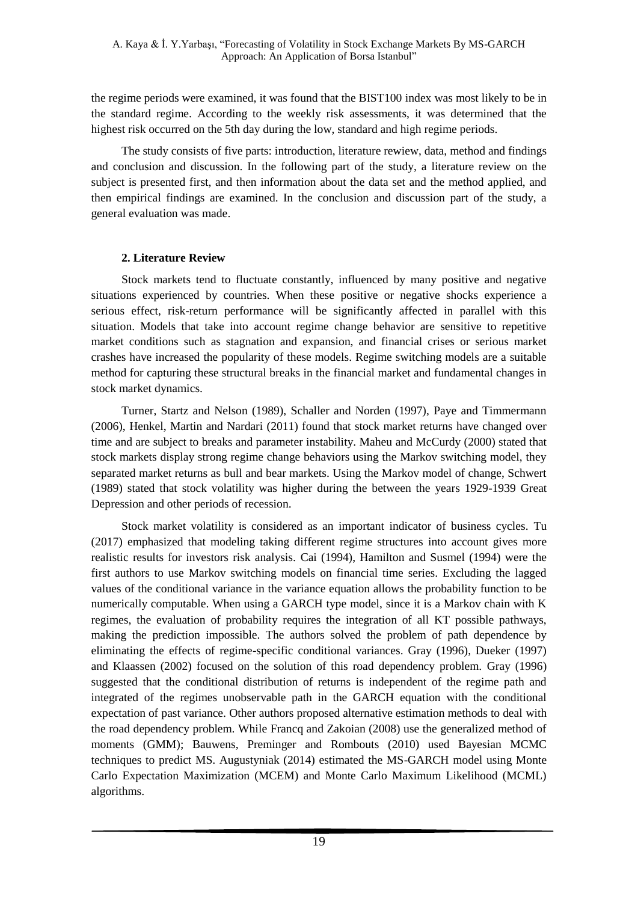the regime periods were examined, it was found that the BIST100 index was most likely to be in the standard regime. According to the weekly risk assessments, it was determined that the highest risk occurred on the 5th day during the low, standard and high regime periods.

The study consists of five parts: introduction, literature rewiew, data, method and findings and conclusion and discussion. In the following part of the study, a literature review on the subject is presented first, and then information about the data set and the method applied, and then empirical findings are examined. In the conclusion and discussion part of the study, a general evaluation was made.

### **2. Literature Review**

Stock markets tend to fluctuate constantly, influenced by many positive and negative situations experienced by countries. When these positive or negative shocks experience a serious effect, risk-return performance will be significantly affected in parallel with this situation. Models that take into account regime change behavior are sensitive to repetitive market conditions such as stagnation and expansion, and financial crises or serious market crashes have increased the popularity of these models. Regime switching models are a suitable method for capturing these structural breaks in the financial market and fundamental changes in stock market dynamics.

Turner, Startz and Nelson (1989), Schaller and Norden (1997), Paye and Timmermann (2006), Henkel, Martin and Nardari (2011) found that stock market returns have changed over time and are subject to breaks and parameter instability. Maheu and McCurdy (2000) stated that stock markets display strong regime change behaviors using the Markov switching model, they separated market returns as bull and bear markets. Using the Markov model of change, Schwert (1989) stated that stock volatility was higher during the between the years 1929-1939 Great Depression and other periods of recession.

Stock market volatility is considered as an important indicator of business cycles. Tu (2017) emphasized that modeling taking different regime structures into account gives more realistic results for investors risk analysis. Cai (1994), Hamilton and Susmel (1994) were the first authors to use Markov switching models on financial time series. Excluding the lagged values of the conditional variance in the variance equation allows the probability function to be numerically computable. When using a GARCH type model, since it is a Markov chain with K regimes, the evaluation of probability requires the integration of all KT possible pathways, making the prediction impossible. The authors solved the problem of path dependence by eliminating the effects of regime-specific conditional variances. Gray (1996), Dueker (1997) and Klaassen (2002) focused on the solution of this road dependency problem. Gray (1996) suggested that the conditional distribution of returns is independent of the regime path and integrated of the regimes unobservable path in the GARCH equation with the conditional expectation of past variance. Other authors proposed alternative estimation methods to deal with the road dependency problem. While Francq and Zakoian (2008) use the generalized method of moments (GMM); Bauwens, Preminger and Rombouts (2010) used Bayesian MCMC techniques to predict MS. Augustyniak (2014) estimated the MS-GARCH model using Monte Carlo Expectation Maximization (MCEM) and Monte Carlo Maximum Likelihood (MCML) algorithms.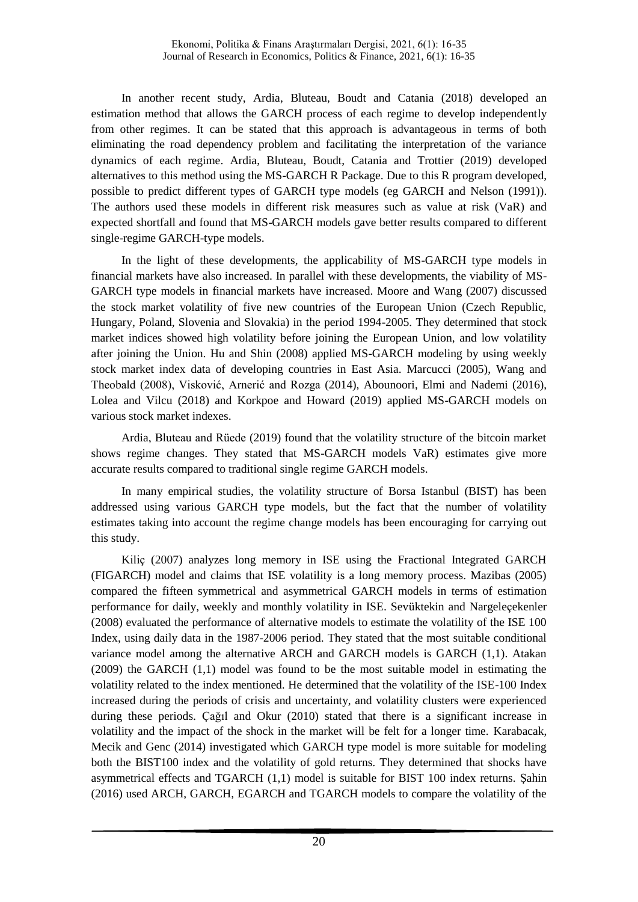In another recent study, Ardia, Bluteau, Boudt and Catania (2018) developed an estimation method that allows the GARCH process of each regime to develop independently from other regimes. It can be stated that this approach is advantageous in terms of both eliminating the road dependency problem and facilitating the interpretation of the variance dynamics of each regime. Ardia, Bluteau, Boudt, Catania and Trottier (2019) developed alternatives to this method using the MS-GARCH R Package. Due to this R program developed, possible to predict different types of GARCH type models (eg GARCH and Nelson (1991)). The authors used these models in different risk measures such as value at risk (VaR) and expected shortfall and found that MS-GARCH models gave better results compared to different single-regime GARCH-type models.

In the light of these developments, the applicability of MS-GARCH type models in financial markets have also increased. In parallel with these developments, the viability of MS-GARCH type models in financial markets have increased. Moore and Wang (2007) discussed the stock market volatility of five new countries of the European Union (Czech Republic, Hungary, Poland, Slovenia and Slovakia) in the period 1994-2005. They determined that stock market indices showed high volatility before joining the European Union, and low volatility after joining the Union. Hu and Shin (2008) applied MS-GARCH modeling by using weekly stock market index data of developing countries in East Asia. Marcucci (2005), Wang and Theobald (2008), Visković, Arnerić and Rozga (2014), Abounoori, Elmi and Nademi (2016), Lolea and Vilcu (2018) and Korkpoe and Howard (2019) applied MS-GARCH models on various stock market indexes.

Ardia, Bluteau and Rüede (2019) found that the volatility structure of the bitcoin market shows regime changes. They stated that MS-GARCH models VaR) estimates give more accurate results compared to traditional single regime GARCH models.

In many empirical studies, the volatility structure of Borsa Istanbul (BIST) has been addressed using various GARCH type models, but the fact that the number of volatility estimates taking into account the regime change models has been encouraging for carrying out this study.

Kiliç (2007) analyzes long memory in ISE using the Fractional Integrated GARCH (FIGARCH) model and claims that ISE volatility is a long memory process. Mazibas (2005) compared the fifteen symmetrical and asymmetrical GARCH models in terms of estimation performance for daily, weekly and monthly volatility in ISE. Sevüktekin and Nargeleçekenler (2008) evaluated the performance of alternative models to estimate the volatility of the ISE 100 Index, using daily data in the 1987-2006 period. They stated that the most suitable conditional variance model among the alternative ARCH and GARCH models is GARCH (1,1). Atakan (2009) the GARCH (1,1) model was found to be the most suitable model in estimating the volatility related to the index mentioned. He determined that the volatility of the ISE-100 Index increased during the periods of crisis and uncertainty, and volatility clusters were experienced during these periods. Çağıl and Okur (2010) stated that there is a significant increase in volatility and the impact of the shock in the market will be felt for a longer time. Karabacak, Mecik and Genc (2014) investigated which GARCH type model is more suitable for modeling both the BIST100 index and the volatility of gold returns. They determined that shocks have asymmetrical effects and TGARCH (1,1) model is suitable for BIST 100 index returns. Şahin (2016) used ARCH, GARCH, EGARCH and TGARCH models to compare the volatility of the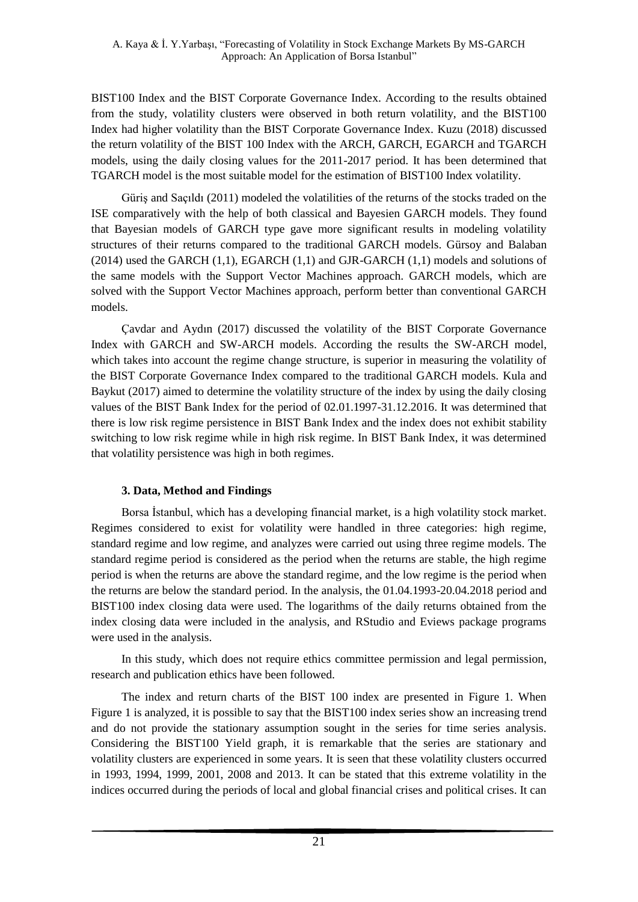BIST100 Index and the BIST Corporate Governance Index. According to the results obtained from the study, volatility clusters were observed in both return volatility, and the BIST100 Index had higher volatility than the BIST Corporate Governance Index. Kuzu (2018) discussed the return volatility of the BIST 100 Index with the ARCH, GARCH, EGARCH and TGARCH models, using the daily closing values for the 2011-2017 period. It has been determined that TGARCH model is the most suitable model for the estimation of BIST100 Index volatility.

Güriş and Saçıldı (2011) modeled the volatilities of the returns of the stocks traded on the ISE comparatively with the help of both classical and Bayesien GARCH models. They found that Bayesian models of GARCH type gave more significant results in modeling volatility structures of their returns compared to the traditional GARCH models. Gürsoy and Balaban  $(2014)$  used the GARCH  $(1,1)$ , EGARCH  $(1,1)$  and GJR-GARCH  $(1,1)$  models and solutions of the same models with the Support Vector Machines approach. GARCH models, which are solved with the Support Vector Machines approach, perform better than conventional GARCH models.

Çavdar and Aydın (2017) discussed the volatility of the BIST Corporate Governance Index with GARCH and SW-ARCH models. According the results the SW-ARCH model, which takes into account the regime change structure, is superior in measuring the volatility of the BIST Corporate Governance Index compared to the traditional GARCH models. Kula and Baykut (2017) aimed to determine the volatility structure of the index by using the daily closing values of the BIST Bank Index for the period of 02.01.1997-31.12.2016. It was determined that there is low risk regime persistence in BIST Bank Index and the index does not exhibit stability switching to low risk regime while in high risk regime. In BIST Bank Index, it was determined that volatility persistence was high in both regimes.

# **3. Data, Method and Findings**

Borsa İstanbul, which has a developing financial market, is a high volatility stock market. Regimes considered to exist for volatility were handled in three categories: high regime, standard regime and low regime, and analyzes were carried out using three regime models. The standard regime period is considered as the period when the returns are stable, the high regime period is when the returns are above the standard regime, and the low regime is the period when the returns are below the standard period. In the analysis, the 01.04.1993-20.04.2018 period and BIST100 index closing data were used. The logarithms of the daily returns obtained from the index closing data were included in the analysis, and RStudio and Eviews package programs were used in the analysis.

In this study, which does not require ethics committee permission and legal permission, research and publication ethics have been followed.

The index and return charts of the BIST 100 index are presented in Figure 1. When Figure 1 is analyzed, it is possible to say that the BIST100 index series show an increasing trend and do not provide the stationary assumption sought in the series for time series analysis. Considering the BIST100 Yield graph, it is remarkable that the series are stationary and volatility clusters are experienced in some years. It is seen that these volatility clusters occurred in 1993, 1994, 1999, 2001, 2008 and 2013. It can be stated that this extreme volatility in the indices occurred during the periods of local and global financial crises and political crises. It can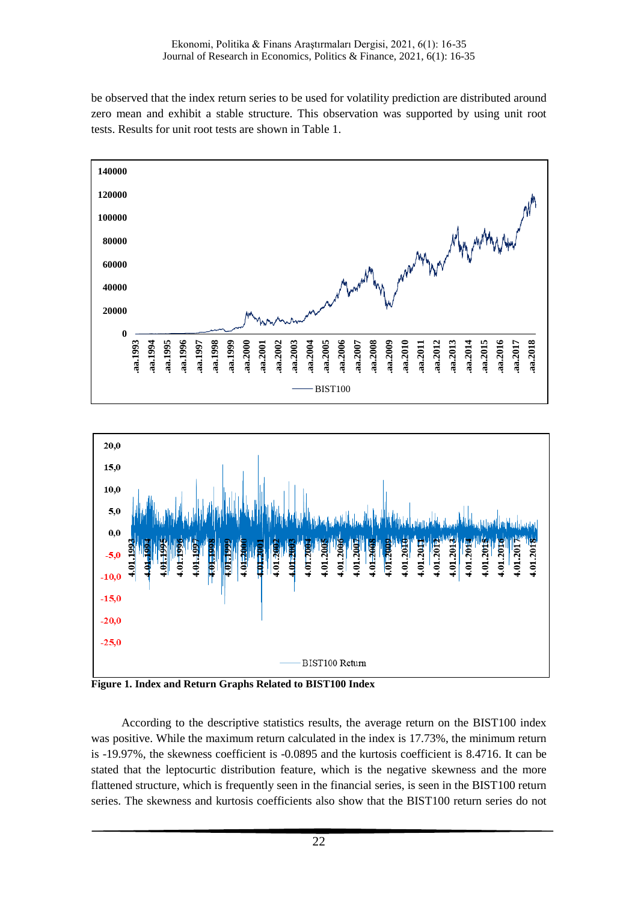be observed that the index return series to be used for volatility prediction are distributed around zero mean and exhibit a stable structure. This observation was supported by using unit root tests. Results for unit root tests are shown in Table 1.





**Figure 1. Index and Return Graphs Related to BIST100 Index**

According to the descriptive statistics results, the average return on the BIST100 index was positive. While the maximum return calculated in the index is 17.73%, the minimum return is -19.97%, the skewness coefficient is -0.0895 and the kurtosis coefficient is 8.4716. It can be stated that the leptocurtic distribution feature, which is the negative skewness and the more flattened structure, which is frequently seen in the financial series, is seen in the BIST100 return series. The skewness and kurtosis coefficients also show that the BIST100 return series do not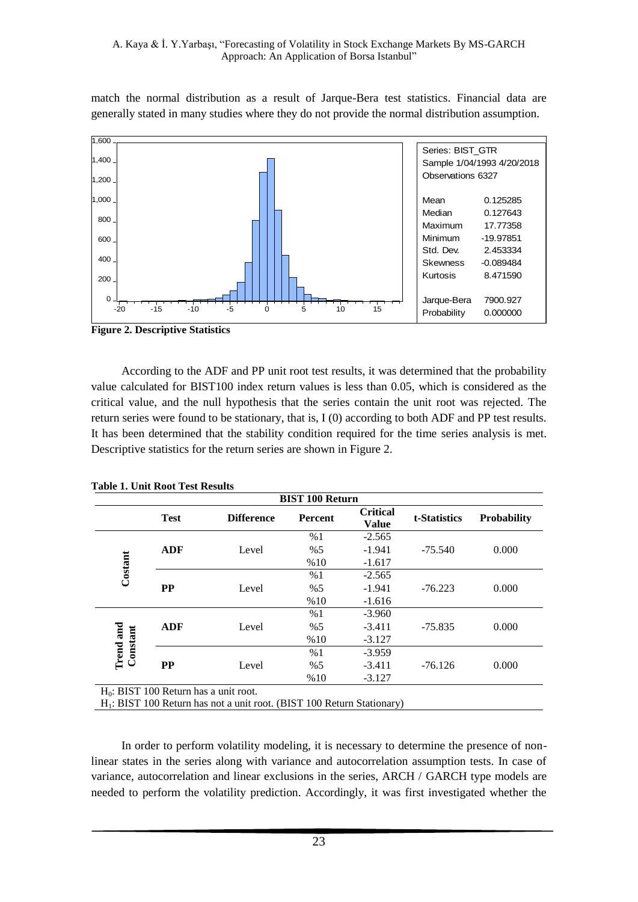match the normal distribution as a result of Jarque-Bera test statistics. Financial data are generally stated in many studies where they do not provide the normal distribution assumption.



**Figure 2. Descriptive Statistics**

According to the ADF and PP unit root test results, it was determined that the probability value calculated for BIST100 index return values is less than 0.05, which is considered as the critical value, and the null hypothesis that the series contain the unit root was rejected. The return series were found to be stationary, that is, I (0) according to both ADF and PP test results. It has been determined that the stability condition required for the time series analysis is met. Descriptive statistics for the return series are shown in Figure 2.

|                              |             |                                                                           | <b>BIST 100 Return</b> |                                 |              |                    |
|------------------------------|-------------|---------------------------------------------------------------------------|------------------------|---------------------------------|--------------|--------------------|
|                              | <b>Test</b> | <b>Difference</b>                                                         | Percent                | <b>Critical</b><br><b>Value</b> | t-Statistics | <b>Probability</b> |
|                              |             |                                                                           | %1                     | $-2.565$                        |              |                    |
|                              | <b>ADF</b>  | Level                                                                     | % 5                    | $-1.941$                        | $-75.540$    | 0.000              |
| Costant                      |             |                                                                           | %10                    | $-1.617$                        |              |                    |
|                              |             |                                                                           | %1                     | $-2.565$                        |              |                    |
|                              | <b>PP</b>   | Level                                                                     | % 5                    | $-1.941$                        | $-76.223$    | 0.000              |
|                              |             |                                                                           | %10                    | $-1.616$                        |              |                    |
|                              |             |                                                                           | %1                     | $-3.960$                        |              |                    |
|                              | <b>ADF</b>  | Level                                                                     | %5                     | $-3.411$                        | $-75.835$    | 0.000              |
|                              |             |                                                                           | %10                    | $-3.127$                        |              |                    |
| <b>Trend</b> and<br>Constant |             |                                                                           | %1                     | $-3.959$                        |              |                    |
|                              | <b>PP</b>   | Level                                                                     | % 5                    | $-3.411$                        | $-76.126$    | 0.000              |
|                              |             |                                                                           | %10                    | $-3.127$                        |              |                    |
|                              |             | $H_0$ : BIST 100 Return has a unit root.                                  |                        |                                 |              |                    |
|                              |             | $H_1$ : BIST 100 Return has not a unit root. (BIST 100 Return Stationary) |                        |                                 |              |                    |

**Table 1. Unit Root Test Results**

In order to perform volatility modeling, it is necessary to determine the presence of nonlinear states in the series along with variance and autocorrelation assumption tests. In case of variance, autocorrelation and linear exclusions in the series, ARCH / GARCH type models are needed to perform the volatility prediction. Accordingly, it was first investigated whether the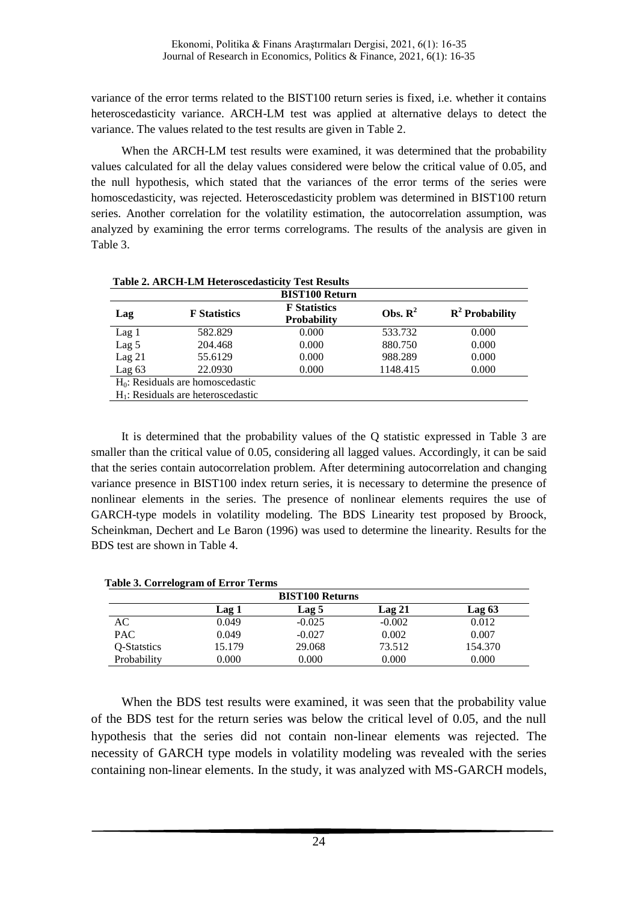variance of the error terms related to the BIST100 return series is fixed, i.e. whether it contains heteroscedasticity variance. ARCH-LM test was applied at alternative delays to detect the variance. The values related to the test results are given in Table 2.

When the ARCH-LM test results were examined, it was determined that the probability values calculated for all the delay values considered were below the critical value of 0.05, and the null hypothesis, which stated that the variances of the error terms of the series were homoscedasticity, was rejected. Heteroscedasticity problem was determined in BIST100 return series. Another correlation for the volatility estimation, the autocorrelation assumption, was analyzed by examining the error terms correlograms. The results of the analysis are given in Table 3.

|                  |                                       | <b>BIST100 Return</b>                     |                     |                   |
|------------------|---------------------------------------|-------------------------------------------|---------------------|-------------------|
| Lag              | <b>F</b> Statistics                   | <b>F</b> Statistics<br><b>Probability</b> | Obs. $\mathbb{R}^2$ | $R^2$ Probability |
| Lag <sub>1</sub> | 582.829                               | 0.000                                     | 533.732             | 0.000             |
| Lag <sub>5</sub> | 204.468                               | 0.000                                     | 880.750             | 0.000             |
| $Lag$ 21         | 55.6129                               | 0.000                                     | 988.289             | 0.000             |
| Lag $63$         | 22.0930                               | 0.000                                     | 1148.415            | 0.000             |
|                  | $H_0$ : Residuals are homoscedastic   |                                           |                     |                   |
|                  | $H_1$ : Residuals are heteroscedastic |                                           |                     |                   |

It is determined that the probability values of the Q statistic expressed in Table 3 are smaller than the critical value of 0.05, considering all lagged values. Accordingly, it can be said that the series contain autocorrelation problem. After determining autocorrelation and changing variance presence in BIST100 index return series, it is necessary to determine the presence of nonlinear elements in the series. The presence of nonlinear elements requires the use of GARCH-type models in volatility modeling. The BDS Linearity test proposed by Broock, Scheinkman, Dechert and Le Baron (1996) was used to determine the linearity. Results for the BDS test are shown in Table 4.

|             |        | <b>BIST100 Returns</b> |          |         |
|-------------|--------|------------------------|----------|---------|
|             | Lag 1  | Lag 5                  | Lag 21   | Lag 63  |
| AC.         | 0.049  | $-0.025$               | $-0.002$ | 0.012   |
| <b>PAC</b>  | 0.049  | $-0.027$               | 0.002    | 0.007   |
| O-Statstics | 15.179 | 29.068                 | 73.512   | 154.370 |
| Probability | 0.000  | 0.000                  | 0.000    | 0.000   |

When the BDS test results were examined, it was seen that the probability value of the BDS test for the return series was below the critical level of 0.05, and the null hypothesis that the series did not contain non-linear elements was rejected. The necessity of GARCH type models in volatility modeling was revealed with the series containing non-linear elements. In the study, it was analyzed with MS-GARCH models,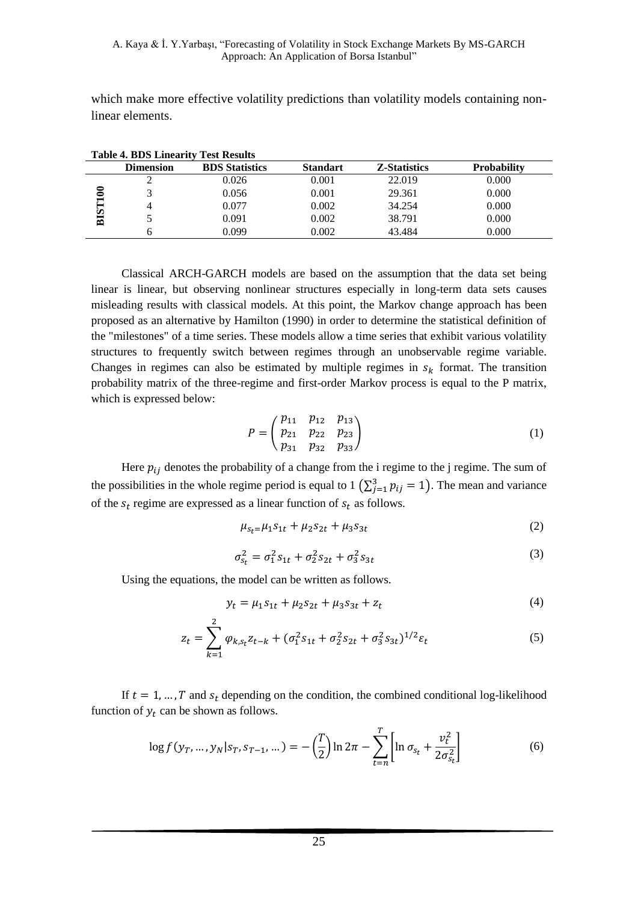which make more effective volatility predictions than volatility models containing nonlinear elements.

|     | Table 7. DDg Lillearn't Test Results |                       |                 |                     |                    |  |
|-----|--------------------------------------|-----------------------|-----------------|---------------------|--------------------|--|
|     | <b>Dimension</b>                     | <b>BDS</b> Statistics | <b>Standart</b> | <b>Z-Statistics</b> | <b>Probability</b> |  |
|     |                                      | 0.026                 | 0.001           | 22.019              | 0.000              |  |
|     |                                      | 0.056                 | 0.001           | 29.361              | 0.000              |  |
|     |                                      | 0.077                 | 0.002           | 34.254              | 0.000              |  |
| BIS |                                      | 0.091                 | 0.002           | 38.791              | 0.000              |  |
|     |                                      | 0.099                 | 0.002           | 43.484              | 0.000              |  |

| <b>Table 4. BDS Linearity Test Results</b> |  |  |
|--------------------------------------------|--|--|
|                                            |  |  |

Classical ARCH-GARCH models are based on the assumption that the data set being linear is linear, but observing nonlinear structures especially in long-term data sets causes misleading results with classical models. At this point, the Markov change approach has been proposed as an alternative by Hamilton (1990) in order to determine the statistical definition of the "milestones" of a time series. These models allow a time series that exhibit various volatility structures to frequently switch between regimes through an unobservable regime variable. Changes in regimes can also be estimated by multiple regimes in  $s_k$  format. The transition probability matrix of the three-regime and first-order Markov process is equal to the P matrix, which is expressed below:

$$
P = \begin{pmatrix} p_{11} & p_{12} & p_{13} \\ p_{21} & p_{22} & p_{23} \\ p_{31} & p_{32} & p_{33} \end{pmatrix}
$$
 (1)

Here  $p_{ij}$  denotes the probability of a change from the i regime to the j regime. The sum of the possibilities in the whole regime period is equal to 1  $(\sum_{j=1}^{3} p_{ij} = 1)$ . The mean and variance of the  $s_t$  regime are expressed as a linear function of  $s_t$  as follows.

$$
\mu_{S_t} = \mu_1 S_{1t} + \mu_2 S_{2t} + \mu_3 S_{3t} \tag{2}
$$

$$
\sigma_{s_t}^2 = \sigma_1^2 s_{1t} + \sigma_2^2 s_{2t} + \sigma_3^2 s_{3t} \tag{3}
$$

Using the equations, the model can be written as follows.

$$
y_t = \mu_1 s_{1t} + \mu_2 s_{2t} + \mu_3 s_{3t} + z_t \tag{4}
$$

$$
z_t = \sum_{k=1}^2 \varphi_{k,s_t} z_{t-k} + (\sigma_1^2 s_{1t} + \sigma_2^2 s_{2t} + \sigma_3^2 s_{3t})^{1/2} \varepsilon_t
$$
 (5)

If  $t = 1, ..., T$  and  $s_t$  depending on the condition, the combined conditional log-likelihood function of  $y_t$  can be shown as follows.

$$
\log f(y_T, \dots, y_N | s_T, s_{T-1}, \dots) = -\left(\frac{T}{2}\right) \ln 2\pi - \sum_{t=n}^T \left[ \ln \sigma_{s_t} + \frac{v_t^2}{2\sigma_{s_t}^2} \right] \tag{6}
$$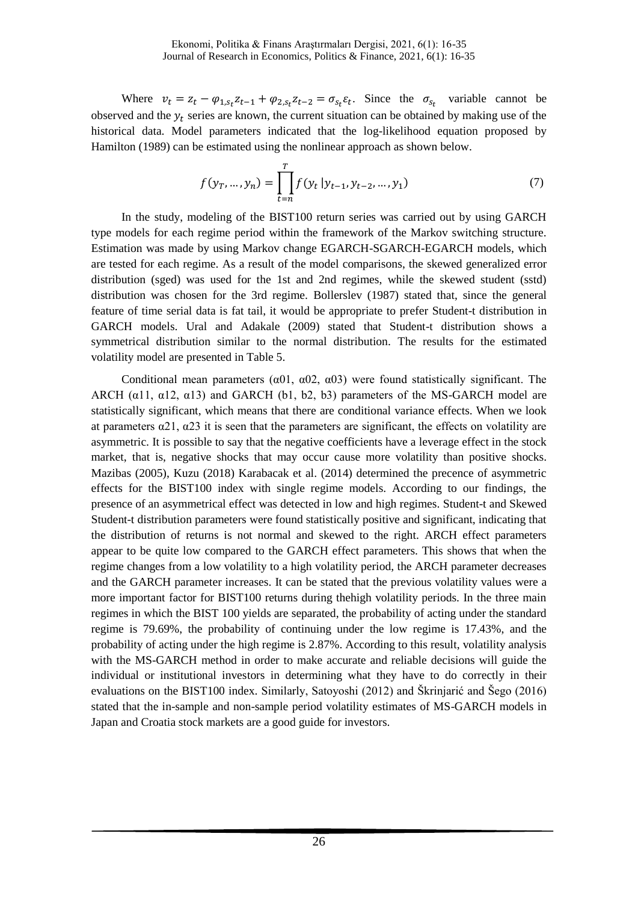Where  $v_t = z_t - \varphi_{1,s_t} z_{t-1} + \varphi_{2,s_t} z_{t-2} = \sigma_{s_t} \varepsilon_t$ . Since the  $\sigma_{s_t}$  variable cannot be observed and the  $y_t$  series are known, the current situation can be obtained by making use of the historical data. Model parameters indicated that the log-likelihood equation proposed by Hamilton (1989) can be estimated using the nonlinear approach as shown below.

$$
f(y_T, ..., y_n) = \prod_{t=n}^{T} f(y_t | y_{t-1}, y_{t-2}, ..., y_1)
$$
 (7)

In the study, modeling of the BIST100 return series was carried out by using GARCH type models for each regime period within the framework of the Markov switching structure. Estimation was made by using Markov change EGARCH-SGARCH-EGARCH models, which are tested for each regime. As a result of the model comparisons, the skewed generalized error distribution (sged) was used for the 1st and 2nd regimes, while the skewed student (sstd) distribution was chosen for the 3rd regime. Bollerslev (1987) stated that, since the general feature of time serial data is fat tail, it would be appropriate to prefer Student-t distribution in GARCH models. Ural and Adakale (2009) stated that Student-t distribution shows a symmetrical distribution similar to the normal distribution. The results for the estimated volatility model are presented in Table 5.

Conditional mean parameters ( $\alpha$ 01,  $\alpha$ 02,  $\alpha$ 03) were found statistically significant. The ARCH ( $\alpha$ 11,  $\alpha$ 12,  $\alpha$ 13) and GARCH (b1, b2, b3) parameters of the MS-GARCH model are statistically significant, which means that there are conditional variance effects. When we look at parameters  $\alpha$ 21,  $\alpha$ 23 it is seen that the parameters are significant, the effects on volatility are asymmetric. It is possible to say that the negative coefficients have a leverage effect in the stock market, that is, negative shocks that may occur cause more volatility than positive shocks. Mazibas (2005), Kuzu (2018) Karabacak et al. (2014) determined the precence of asymmetric effects for the BIST100 index with single regime models. According to our findings, the presence of an asymmetrical effect was detected in low and high regimes. Student-t and Skewed Student-t distribution parameters were found statistically positive and significant, indicating that the distribution of returns is not normal and skewed to the right. ARCH effect parameters appear to be quite low compared to the GARCH effect parameters. This shows that when the regime changes from a low volatility to a high volatility period, the ARCH parameter decreases and the GARCH parameter increases. It can be stated that the previous volatility values were a more important factor for BIST100 returns during thehigh volatility periods. In the three main regimes in which the BIST 100 yields are separated, the probability of acting under the standard regime is 79.69%, the probability of continuing under the low regime is 17.43%, and the probability of acting under the high regime is 2.87%. According to this result, volatility analysis with the MS-GARCH method in order to make accurate and reliable decisions will guide the individual or institutional investors in determining what they have to do correctly in their evaluations on the BIST100 index. Similarly, Satoyoshi (2012) and Škrinjarić and Šego (2016) stated that the in-sample and non-sample period volatility estimates of MS-GARCH models in Japan and Croatia stock markets are a good guide for investors.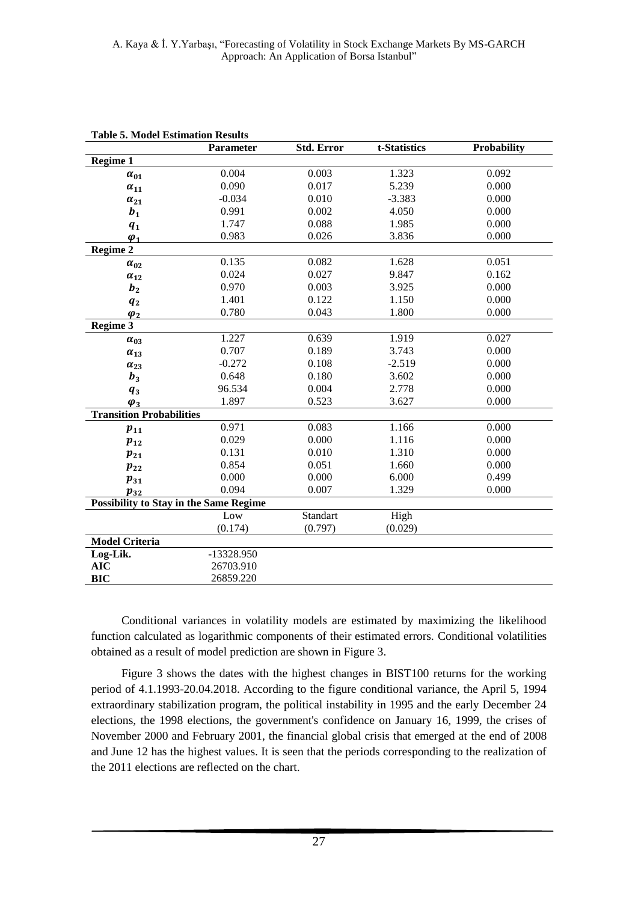|                                               | <b>Parameter</b> | <b>Std. Error</b> | t-Statistics | Probability |
|-----------------------------------------------|------------------|-------------------|--------------|-------------|
| Regime 1                                      |                  |                   |              |             |
| $\alpha_{01}$                                 | 0.004            | 0.003             | 1.323        | 0.092       |
| $\alpha_{11}$                                 | 0.090            | 0.017             | 5.239        | 0.000       |
| $\alpha_{21}$                                 | $-0.034$         | 0.010             | $-3.383$     | 0.000       |
| $b_1$                                         | 0.991            | 0.002             | 4.050        | 0.000       |
| $q_1$                                         | 1.747            | 0.088             | 1.985        | 0.000       |
| $\varphi_1$                                   | 0.983            | 0.026             | 3.836        | 0.000       |
| <b>Regime 2</b>                               |                  |                   |              |             |
| $\alpha_{02}$                                 | 0.135            | 0.082             | 1.628        | 0.051       |
| $\alpha_{12}$                                 | 0.024            | 0.027             | 9.847        | 0.162       |
| b <sub>2</sub>                                | 0.970            | 0.003             | 3.925        | 0.000       |
| $q_{2}$                                       | 1.401            | 0.122             | 1.150        | 0.000       |
| $\varphi_2$                                   | 0.780            | 0.043             | 1.800        | 0.000       |
| Regime 3                                      |                  |                   |              |             |
| $\alpha_{03}$                                 | 1.227            | 0.639             | 1.919        | 0.027       |
| $\alpha_{13}$                                 | 0.707            | 0.189             | 3.743        | 0.000       |
| $\alpha_{23}$                                 | $-0.272$         | 0.108             | $-2.519$     | 0.000       |
| $b_3$                                         | 0.648            | 0.180             | 3.602        | 0.000       |
| $q_3$                                         | 96.534           | 0.004             | 2.778        | 0.000       |
| $\varphi_3$                                   | 1.897            | 0.523             | 3.627        | 0.000       |
| <b>Transition Probabilities</b>               |                  |                   |              |             |
| $p_{11}$                                      | 0.971            | 0.083             | 1.166        | 0.000       |
| $p_{12}$                                      | 0.029            | 0.000             | 1.116        | 0.000       |
| $p_{21}$                                      | 0.131            | 0.010             | 1.310        | 0.000       |
| $p_{22}$                                      | 0.854            | 0.051             | 1.660        | 0.000       |
| $p_{31}$                                      | 0.000            | 0.000             | 6.000        | 0.499       |
| $p_{32}$                                      | 0.094            | 0.007             | 1.329        | 0.000       |
| <b>Possibility to Stay in the Same Regime</b> |                  |                   |              |             |
|                                               | Low              | Standart          | High         |             |
|                                               | (0.174)          | (0.797)           | (0.029)      |             |
| <b>Model Criteria</b>                         |                  |                   |              |             |
| Log-Lik.                                      | -13328.950       |                   |              |             |
| <b>AIC</b>                                    | 26703.910        |                   |              |             |
| <b>BIC</b>                                    | 26859.220        |                   |              |             |

**Table 5. Model Estimation Results**

Conditional variances in volatility models are estimated by maximizing the likelihood function calculated as logarithmic components of their estimated errors. Conditional volatilities obtained as a result of model prediction are shown in Figure 3.

Figure 3 shows the dates with the highest changes in BIST100 returns for the working period of 4.1.1993-20.04.2018. According to the figure conditional variance, the April 5, 1994 extraordinary stabilization program, the political instability in 1995 and the early December 24 elections, the 1998 elections, the government's confidence on January 16, 1999, the crises of November 2000 and February 2001, the financial global crisis that emerged at the end of 2008 and June 12 has the highest values. It is seen that the periods corresponding to the realization of the 2011 elections are reflected on the chart.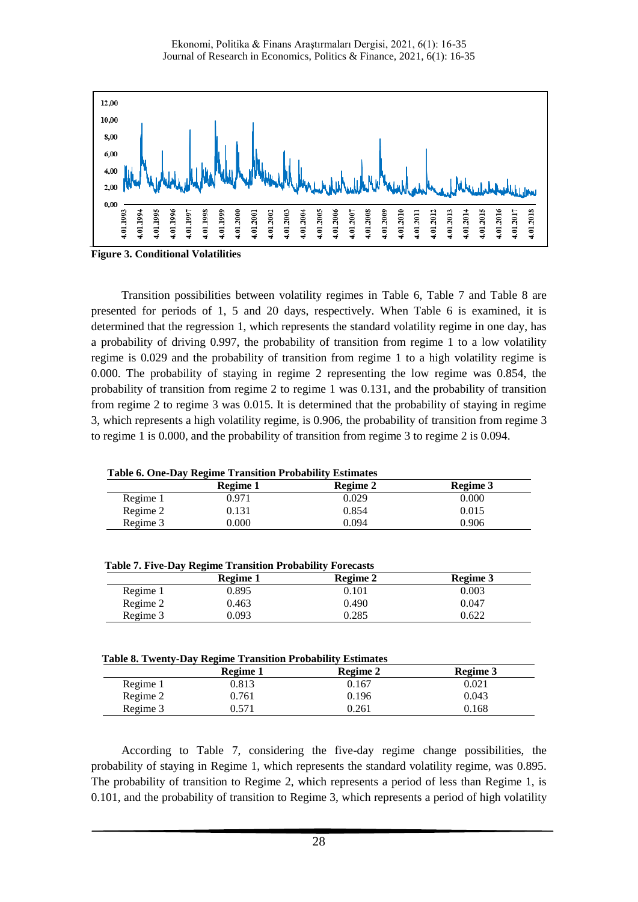

**Figure 3. Conditional Volatilities**

Transition possibilities between volatility regimes in Table 6, Table 7 and Table 8 are presented for periods of 1, 5 and 20 days, respectively. When Table 6 is examined, it is determined that the regression 1, which represents the standard volatility regime in one day, has a probability of driving 0.997, the probability of transition from regime 1 to a low volatility regime is 0.029 and the probability of transition from regime 1 to a high volatility regime is 0.000. The probability of staying in regime 2 representing the low regime was 0.854, the probability of transition from regime 2 to regime 1 was 0.131, and the probability of transition from regime 2 to regime 3 was 0.015. It is determined that the probability of staying in regime 3, which represents a high volatility regime, is 0.906, the probability of transition from regime 3 to regime 1 is 0.000, and the probability of transition from regime 3 to regime 2 is 0.094.

|  |  | <b>Table 6. One-Day Regime Transition Probability Estimates</b> |  |
|--|--|-----------------------------------------------------------------|--|
|  |  |                                                                 |  |

|          | Table 0. One-Day Regnite Transition Trobability Estimates |          |          |  |  |  |
|----------|-----------------------------------------------------------|----------|----------|--|--|--|
|          | Regime 1                                                  | Regime 2 | Regime 3 |  |  |  |
| Regime 1 | 0.971                                                     | 0.029    | 0.000    |  |  |  |
| Regime 2 | 0.131                                                     | 0.854    | 0.015    |  |  |  |
| Regime 3 | 0.000                                                     | 0.094    | 0.906    |  |  |  |
|          |                                                           |          |          |  |  |  |

| <b>Table 7. Five-Day Regime Transition Probability Forecasts</b> |          |          |          |
|------------------------------------------------------------------|----------|----------|----------|
|                                                                  | Regime 1 | Regime 2 | Regime 3 |
| Regime 1                                                         | 0.895    | 0.101    | 0.003    |
| Regime 2                                                         | 0.463    | 0.490    | 0.047    |
| Regime 3                                                         | 0.093    | 0.285    | 0.622    |

| Tubic of Twenty Duy Regnine Trumbition Trobublity Ebulmutes |          |          |          |  |
|-------------------------------------------------------------|----------|----------|----------|--|
|                                                             | Regime 1 | Regime 2 | Regime 3 |  |
| Regime 1                                                    | 0.813    | 0.167    | 0.021    |  |
| Regime 2                                                    | 0.761    | 0.196    | 0.043    |  |
| Regime 3                                                    | ).571    | 0.261    | ).168    |  |

According to Table 7, considering the five-day regime change possibilities, the probability of staying in Regime 1, which represents the standard volatility regime, was 0.895. The probability of transition to Regime 2, which represents a period of less than Regime 1, is 0.101, and the probability of transition to Regime 3, which represents a period of high volatility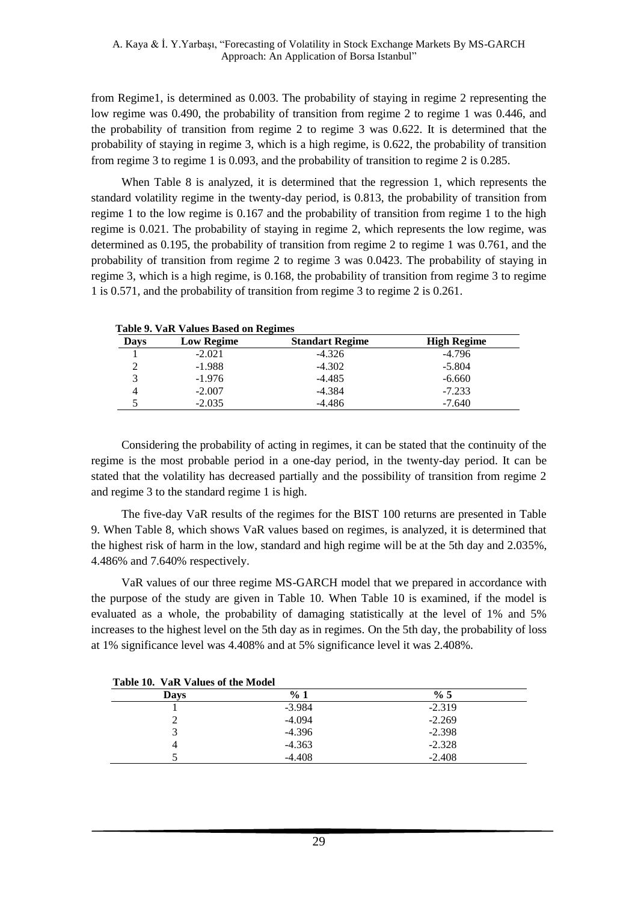from Regime1, is determined as 0.003. The probability of staying in regime 2 representing the low regime was 0.490, the probability of transition from regime 2 to regime 1 was 0.446, and the probability of transition from regime 2 to regime 3 was 0.622. It is determined that the probability of staying in regime 3, which is a high regime, is 0.622, the probability of transition from regime 3 to regime 1 is 0.093, and the probability of transition to regime 2 is 0.285.

When Table 8 is analyzed, it is determined that the regression 1, which represents the standard volatility regime in the twenty-day period, is 0.813, the probability of transition from regime 1 to the low regime is 0.167 and the probability of transition from regime 1 to the high regime is 0.021. The probability of staying in regime 2, which represents the low regime, was determined as 0.195, the probability of transition from regime 2 to regime 1 was 0.761, and the probability of transition from regime 2 to regime 3 was 0.0423. The probability of staying in regime 3, which is a high regime, is 0.168, the probability of transition from regime 3 to regime 1 is 0.571, and the probability of transition from regime 3 to regime 2 is 0.261.

| <b>Days</b> | <b>Low Regime</b> | <b>Standart Regime</b> | <b>High Regime</b> |
|-------------|-------------------|------------------------|--------------------|
|             | $-2.021$          | $-4.326$               | $-4.796$           |
|             | $-1.988$          | $-4.302$               | $-5.804$           |
|             | $-1.976$          | $-4.485$               | $-6.660$           |
|             | $-2.007$          | $-4.384$               | $-7.233$           |
|             | $-2.035$          | -4.486                 | $-7.640$           |

 **Table 9. VaR Values Based on Regimes**

Considering the probability of acting in regimes, it can be stated that the continuity of the regime is the most probable period in a one-day period, in the twenty-day period. It can be stated that the volatility has decreased partially and the possibility of transition from regime 2 and regime 3 to the standard regime 1 is high.

The five-day VaR results of the regimes for the BIST 100 returns are presented in Table 9. When Table 8, which shows VaR values based on regimes, is analyzed, it is determined that the highest risk of harm in the low, standard and high regime will be at the 5th day and 2.035%, 4.486% and 7.640% respectively.

VaR values of our three regime MS-GARCH model that we prepared in accordance with the purpose of the study are given in Table 10. When Table 10 is examined, if the model is evaluated as a whole, the probability of damaging statistically at the level of 1% and 5% increases to the highest level on the 5th day as in regimes. On the 5th day, the probability of loss at 1% significance level was 4.408% and at 5% significance level it was 2.408%.

| Table 10. VaR Values of the Model |          |          |
|-----------------------------------|----------|----------|
| Days                              | %1       | % 5      |
|                                   | $-3.984$ | $-2.319$ |
|                                   | $-4.094$ | $-2.269$ |
|                                   | $-4.396$ | $-2.398$ |
|                                   | $-4.363$ | $-2.328$ |
|                                   | $-4.408$ | $-2.408$ |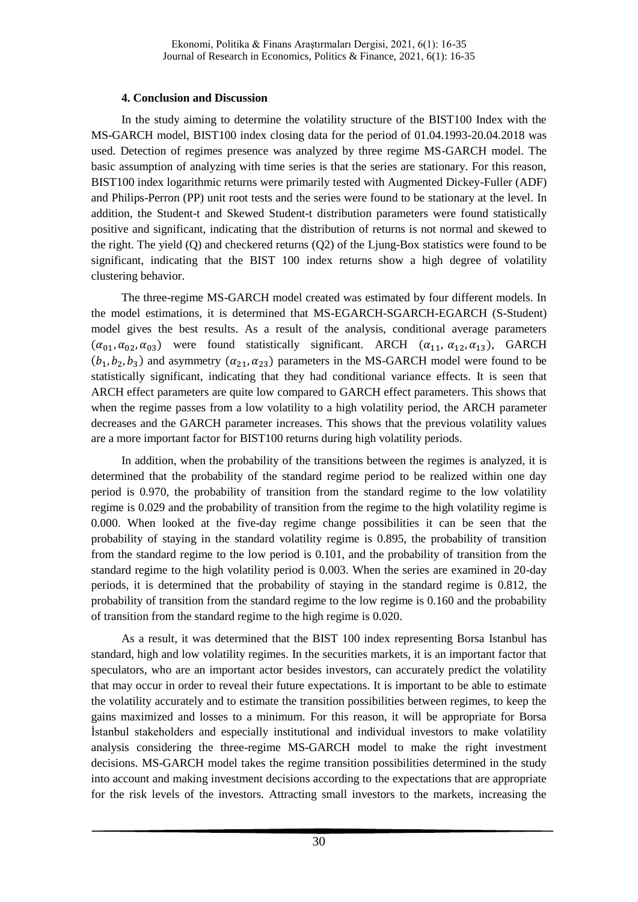### **4. Conclusion and Discussion**

In the study aiming to determine the volatility structure of the BIST100 Index with the MS-GARCH model, BIST100 index closing data for the period of 01.04.1993-20.04.2018 was used. Detection of regimes presence was analyzed by three regime MS-GARCH model. The basic assumption of analyzing with time series is that the series are stationary. For this reason, BIST100 index logarithmic returns were primarily tested with Augmented Dickey-Fuller (ADF) and Philips-Perron (PP) unit root tests and the series were found to be stationary at the level. In addition, the Student-t and Skewed Student-t distribution parameters were found statistically positive and significant, indicating that the distribution of returns is not normal and skewed to the right. The yield (Q) and checkered returns (Q2) of the Ljung-Box statistics were found to be significant, indicating that the BIST 100 index returns show a high degree of volatility clustering behavior.

The three-regime MS-GARCH model created was estimated by four different models. In the model estimations, it is determined that MS-EGARCH-SGARCH-EGARCH (S-Student) model gives the best results. As a result of the analysis, conditional average parameters  $(\alpha_{01}, \alpha_{02}, \alpha_{03})$  were found statistically significant. ARCH  $(\alpha_{11}, \alpha_{12}, \alpha_{13})$ , GARCH  $(b_1, b_2, b_3)$  and asymmetry  $(\alpha_{21}, \alpha_{23})$  parameters in the MS-GARCH model were found to be statistically significant, indicating that they had conditional variance effects. It is seen that ARCH effect parameters are quite low compared to GARCH effect parameters. This shows that when the regime passes from a low volatility to a high volatility period, the ARCH parameter decreases and the GARCH parameter increases. This shows that the previous volatility values are a more important factor for BIST100 returns during high volatility periods.

In addition, when the probability of the transitions between the regimes is analyzed, it is determined that the probability of the standard regime period to be realized within one day period is 0.970, the probability of transition from the standard regime to the low volatility regime is 0.029 and the probability of transition from the regime to the high volatility regime is 0.000. When looked at the five-day regime change possibilities it can be seen that the probability of staying in the standard volatility regime is 0.895, the probability of transition from the standard regime to the low period is 0.101, and the probability of transition from the standard regime to the high volatility period is 0.003. When the series are examined in 20-day periods, it is determined that the probability of staying in the standard regime is 0.812, the probability of transition from the standard regime to the low regime is 0.160 and the probability of transition from the standard regime to the high regime is 0.020.

As a result, it was determined that the BIST 100 index representing Borsa Istanbul has standard, high and low volatility regimes. In the securities markets, it is an important factor that speculators, who are an important actor besides investors, can accurately predict the volatility that may occur in order to reveal their future expectations. It is important to be able to estimate the volatility accurately and to estimate the transition possibilities between regimes, to keep the gains maximized and losses to a minimum. For this reason, it will be appropriate for Borsa İstanbul stakeholders and especially institutional and individual investors to make volatility analysis considering the three-regime MS-GARCH model to make the right investment decisions. MS-GARCH model takes the regime transition possibilities determined in the study into account and making investment decisions according to the expectations that are appropriate for the risk levels of the investors. Attracting small investors to the markets, increasing the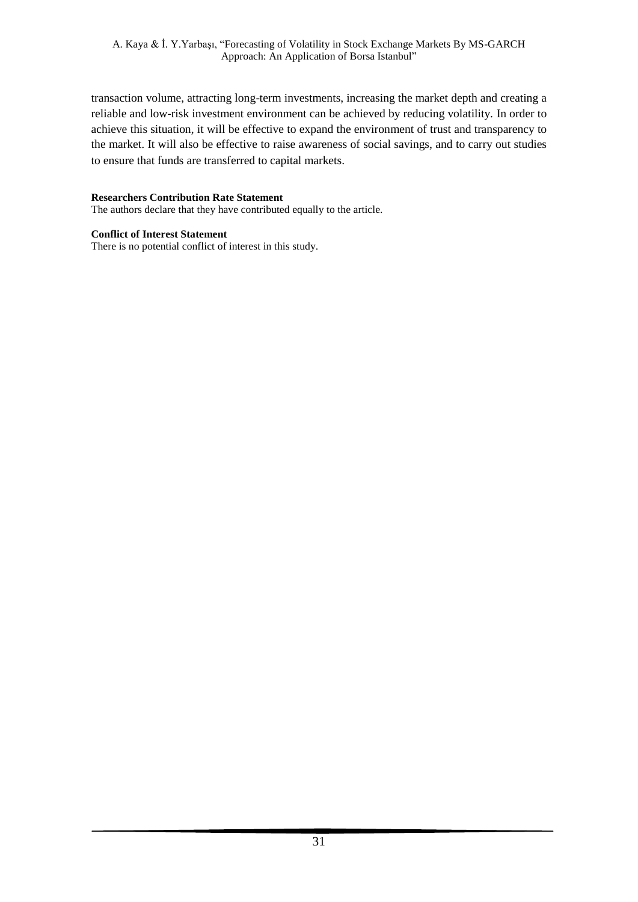transaction volume, attracting long-term investments, increasing the market depth and creating a reliable and low-risk investment environment can be achieved by reducing volatility. In order to achieve this situation, it will be effective to expand the environment of trust and transparency to the market. It will also be effective to raise awareness of social savings, and to carry out studies to ensure that funds are transferred to capital markets.

### **Researchers Contribution Rate Statement**

The authors declare that they have contributed equally to the article.

### **Conflict of Interest Statement**

There is no potential conflict of interest in this study.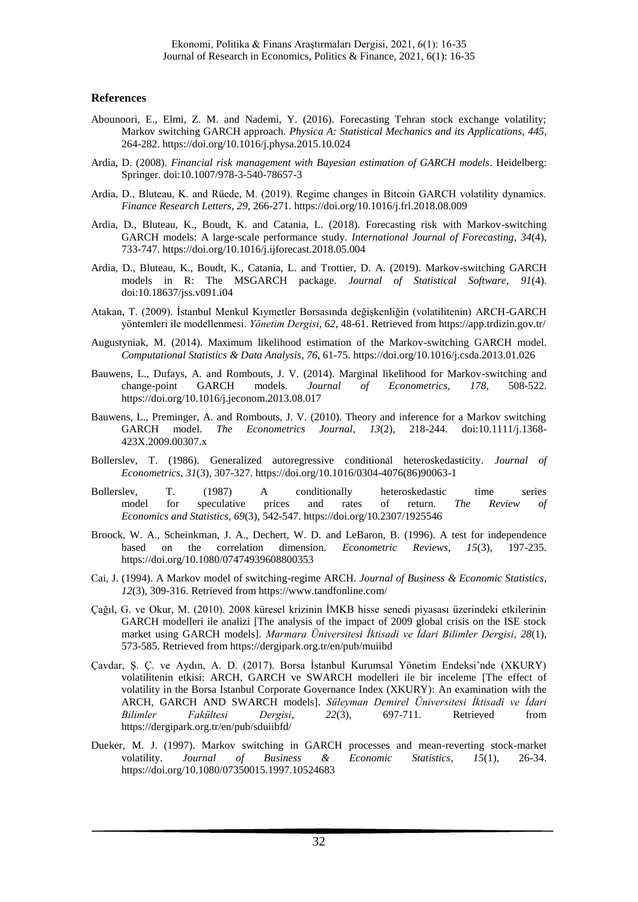#### **References**

- Abounoori, E., Elmi, Z. M. and Nademi, Y. (2016). Forecasting Tehran stock exchange volatility; Markov switching GARCH approach. *Physica A: Statistical Mechanics and its Applications*, *445*, 264-282. https://doi.org/10.1016/j.physa.2015.10.024
- Ardia, D. (2008). *Financial risk management with Bayesian estimation of GARCH models*. Heidelberg: Springer. doi:10.1007/978-3-540-78657-3
- Ardia, D., Bluteau, K. and Rüede, M. (2019). Regime changes in Bitcoin GARCH volatility dynamics. *Finance Research Letters*, *29*, 266-271. https://doi.org/10.1016/j.frl.2018.08.009
- Ardia, D., Bluteau, K., Boudt, K. and Catania, L. (2018). Forecasting risk with Markov-switching GARCH models: A large-scale performance study. *International Journal of Forecasting*, *34*(4), 733-747. https://doi.org/10.1016/j.ijforecast.2018.05.004
- Ardia, D., Bluteau, K., Boudt, K., Catania, L. and Trottier, D. A. (2019). Markov-switching GARCH models in R: The MSGARCH package. *Journal of Statistical Software*, *91*(4). doi:10.18637/jss.v091.i04
- Atakan, T. (2009). İstanbul Menkul Kıymetler Borsasında değişkenliğin (volatilitenin) ARCH-GARCH yöntemleri ile modellenmesi. *Yönetim Dergisi*, *62*, 48-61. Retrieved from https://app.trdizin.gov.tr/
- Augustyniak, M. (2014). Maximum likelihood estimation of the Markov-switching GARCH model. *Computational Statistics & Data Analysis*, *76*, 61-75. https://doi.org/10.1016/j.csda.2013.01.026
- Bauwens, L., Dufays, A. and Rombouts, J. V. (2014). Marginal likelihood for Markov-switching and change-point GARCH models. *Journal of Econometrics*, *178*, 508-522. https://doi.org/10.1016/j.jeconom.2013.08.017
- Bauwens, L., Preminger, A. and Rombouts, J. V. (2010). Theory and inference for a Markov switching GARCH model. *The Econometrics Journal*, *13*(2), 218-244. doi:10.1111/j.1368- 423X.2009.00307.x
- Bollerslev, T. (1986). Generalized autoregressive conditional heteroskedasticity. *Journal of Econometrics*, *31*(3), 307-327. https://doi.org/10.1016/0304-4076(86)90063-1
- Bollerslev, T. (1987) A conditionally heteroskedastic time series model for speculative prices and rates of return. *The Review of Economics and Statistics, 69*(3), 542-547. https://doi.org/10.2307/1925546
- Broock, W. A., Scheinkman, J. A., Dechert, W. D. and LeBaron, B. (1996). A test for independence based on the correlation dimension. *Econometric Reviews, 15*(3), 197-235. https://doi.org/10.1080/07474939608800353
- Cai, J. (1994). A Markov model of switching-regime ARCH. *Journal of Business & Economic Statistics*, *12*(3), 309-316. Retrieved from https://www.tandfonline.com/
- Çağıl, G. ve Okur, M. (2010). 2008 küresel krizinin İMKB hisse senedi piyasası üzerindeki etkilerinin GARCH modelleri ile analizi [The analysis of the impact of 2009 global crisis on the ISE stock market using GARCH models]. *Marmara Üniversitesi İktisadi ve İdari Bilimler Dergisi*, *28*(1), 573-585. Retrieved from https://dergipark.org.tr/en/pub/muiibd
- Çavdar, Ş. Ç. ve Aydın, A. D. (2017). Borsa İstanbul Kurumsal Yönetim Endeksi'nde (XKURY) volatilitenin etkisi: ARCH, GARCH ve SWARCH modelleri ile bir inceleme [The effect of volatility in the Borsa Istanbul Corporate Governance Index (XKURY): An examination with the ARCH, GARCH AND SWARCH models]. *Süleyman Demirel Üniversitesi İktisadi ve İdari Bilimler Fakültesi Dergisi*, *22*(3), 697-711. Retrieved from https://dergipark.org.tr/en/pub/sduiibfd/
- Dueker, M. J. (1997). Markov switching in GARCH processes and mean-reverting stock-market volatility. *Journal of Business & Economic Statistics*, *15*(1), 26-34. https://doi.org/10.1080/07350015.1997.10524683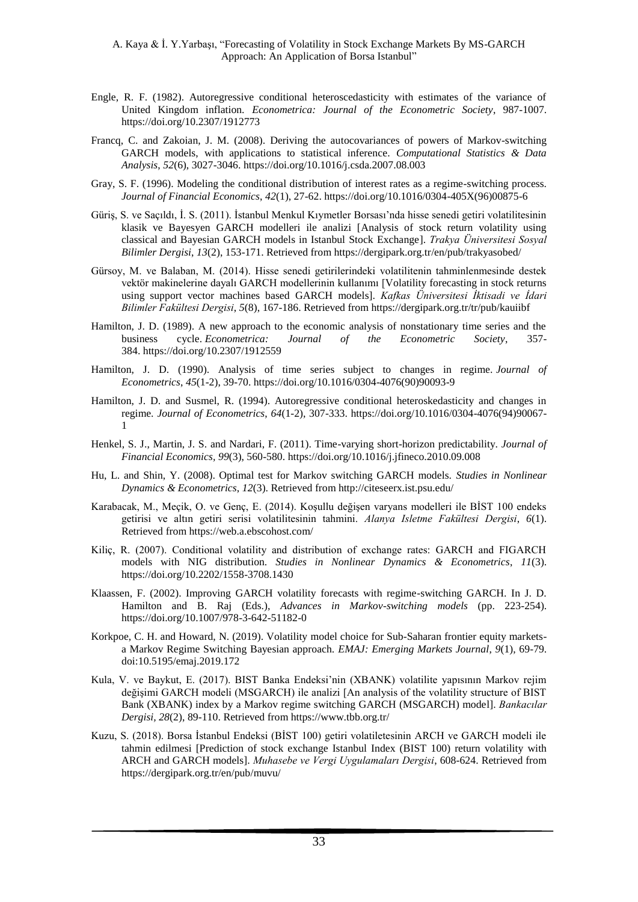- Engle, R. F. (1982). Autoregressive conditional heteroscedasticity with estimates of the variance of United Kingdom inflation. *Econometrica: Journal of the Econometric Society*, 987-1007. https://doi.org/10.2307/1912773
- Francq, C. and Zakoian, J. M. (2008). Deriving the autocovariances of powers of Markov-switching GARCH models, with applications to statistical inference. *Computational Statistics & Data Analysis*, *52*(6), 3027-3046. https://doi.org/10.1016/j.csda.2007.08.003
- Gray, S. F. (1996). Modeling the conditional distribution of interest rates as a regime-switching process. *Journal of Financial Economics*, *42*(1), 27-62. https://doi.org/10.1016/0304-405X(96)00875-6
- Güriş, S. ve Saçıldı, İ. S. (2011). İstanbul Menkul Kıymetler Borsası'nda hisse senedi getiri volatilitesinin klasik ve Bayesyen GARCH modelleri ile analizi [Analysis of stock return volatility using classical and Bayesian GARCH models in Istanbul Stock Exchange]. *Trakya Üniversitesi Sosyal Bilimler Dergisi*, *13*(2), 153-171. Retrieved from https://dergipark.org.tr/en/pub/trakyasobed/
- Gürsoy, M. ve Balaban, M. (2014). Hisse senedi getirilerindeki volatilitenin tahminlenmesinde destek vektör makinelerine dayalı GARCH modellerinin kullanımı [Volatility forecasting in stock returns using support vector machines based GARCH models]. *Kafkas Üniversitesi İktisadi ve İdari Bilimler Fakültesi Dergisi*, *5*(8), 167-186. Retrieved from https://dergipark.org.tr/tr/pub/kauiibf
- Hamilton, J. D. (1989). A new approach to the economic analysis of nonstationary time series and the business cycle. *Econometrica: Journal of the Econometric Society*, 357- 384. https://doi.org/10.2307/1912559
- Hamilton, J. D. (1990). Analysis of time series subject to changes in regime. *Journal of Econometrics*, *45*(1-2), 39-70. https://doi.org/10.1016/0304-4076(90)90093-9
- Hamilton, J. D. and Susmel, R. (1994). Autoregressive conditional heteroskedasticity and changes in regime. *Journal of Econometrics*, *64*(1-2), 307-333. https://doi.org/10.1016/0304-4076(94)90067- 1
- Henkel, S. J., Martin, J. S. and Nardari, F. (2011). Time-varying short-horizon predictability. *Journal of Financial Economics, 99*(3), 560-580. https://doi.org/10.1016/j.jfineco.2010.09.008
- Hu, L. and Shin, Y. (2008). Optimal test for Markov switching GARCH models. *Studies in Nonlinear Dynamics & Econometrics*, *12*(3). Retrieved from http://citeseerx.ist.psu.edu/
- Karabacak, M., Meçik, O. ve Genç, E. (2014). Koşullu değişen varyans modelleri ile BİST 100 endeks getirisi ve altın getiri serisi volatilitesinin tahmini. *Alanya Isletme Fakültesi Dergisi*, *6*(1). Retrieved from https://web.a.ebscohost.com/
- Kiliç, R. (2007). Conditional volatility and distribution of exchange rates: GARCH and FIGARCH models with NIG distribution. *Studies in Nonlinear Dynamics & Econometrics*, *11*(3). https://doi.org/10.2202/1558-3708.1430
- Klaassen, F. (2002). Improving GARCH volatility forecasts with regime-switching GARCH. In J. D. Hamilton and B. Raj (Eds.), *Advances in Markov-switching models* (pp. 223-254). https://doi.org/10.1007/978-3-642-51182-0
- Korkpoe, C. H. and Howard, N. (2019). Volatility model choice for Sub-Saharan frontier equity marketsa Markov Regime Switching Bayesian approach. *EMAJ: Emerging Markets Journal*, *9*(1), 69-79. doi:10.5195/emaj.2019.172
- Kula, V. ve Baykut, E. (2017). BIST Banka Endeksi'nin (XBANK) volatilite yapısının Markov rejim değişimi GARCH modeli (MSGARCH) ile analizi [An analysis of the volatility structure of BIST Bank (XBANK) index by a Markov regime switching GARCH (MSGARCH) model]. *Bankacılar Dergisi, 28*(2), 89-110. Retrieved from https://www.tbb.org.tr/
- Kuzu, S. (2018). Borsa İstanbul Endeksi (BİST 100) getiri volatiletesinin ARCH ve GARCH modeli ile tahmin edilmesi [Prediction of stock exchange Istanbul Index (BIST 100) return volatility with ARCH and GARCH models]. *Muhasebe ve Vergi Uygulamaları Dergisi*, 608-624. Retrieved from https://dergipark.org.tr/en/pub/muvu/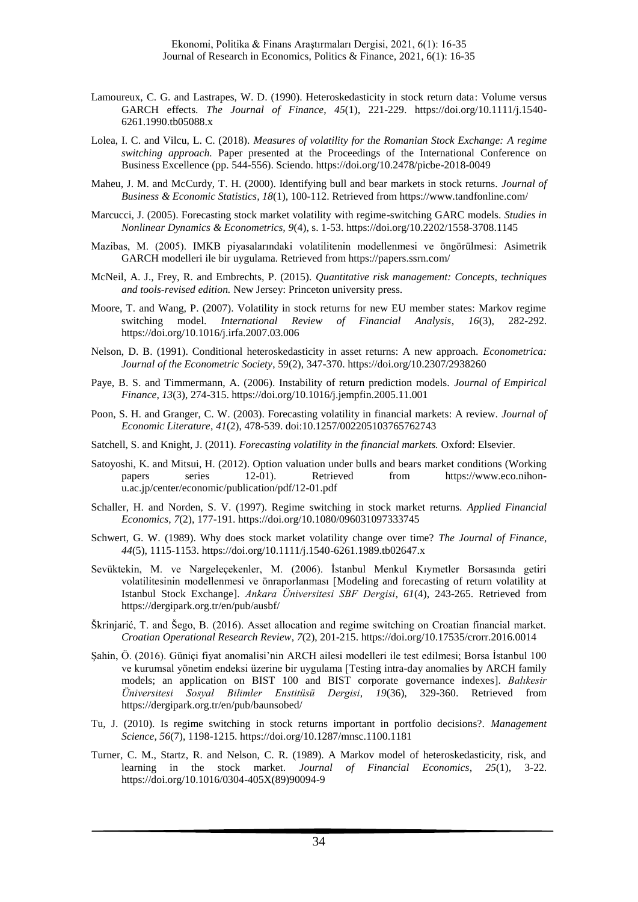- Lamoureux, C. G. and Lastrapes, W. D. (1990). Heteroskedasticity in stock return data: Volume versus GARCH effects. *The Journal of Finance*, *45*(1), 221-229. https://doi.org/10.1111/j.1540- 6261.1990.tb05088.x
- Lolea, I. C. and Vilcu, L. C. (2018). *Measures of volatility for the Romanian Stock Exchange: A regime switching approach.* Paper presented at the Proceedings of the International Conference on Business Excellence (pp. 544-556). Sciendo. https://doi.org/10.2478/picbe-2018-0049
- Maheu, J. M. and McCurdy, T. H. (2000). Identifying bull and bear markets in stock returns. *Journal of Business & Economic Statistics, 18*(1), 100-112. Retrieved from https://www.tandfonline.com/
- Marcucci, J. (2005). Forecasting stock market volatility with regime-switching GARC models. *Studies in Nonlinear Dynamics & Econometrics, 9*(4), s. 1-53. https://doi.org/10.2202/1558-3708.1145
- Mazibas, M. (2005). IMKB piyasalarındaki volatilitenin modellenmesi ve öngörülmesi: Asimetrik GARCH modelleri ile bir uygulama. Retrieved from https://papers.ssrn.com/
- McNeil, A. J., Frey, R. and Embrechts, P. (2015). *Quantitative risk management: Concepts, techniques and tools-revised edition.* New Jersey: Princeton university press.
- Moore, T. and Wang, P. (2007). Volatility in stock returns for new EU member states: Markov regime switching model. *International Review of Financial Analysis*, *16*(3), 282-292. https://doi.org/10.1016/j.irfa.2007.03.006
- Nelson, D. B. (1991). Conditional heteroskedasticity in asset returns: A new approach. *Econometrica: Journal of the Econometric Society*, 59(2), 347-370. https://doi.org/10.2307/2938260
- Paye, B. S. and Timmermann, A. (2006). Instability of return prediction models. *Journal of Empirical Finance*, *13*(3), 274-315. https://doi.org/10.1016/j.jempfin.2005.11.001
- Poon, S. H. and Granger, C. W. (2003). Forecasting volatility in financial markets: A review. *Journal of Economic Literature*, *41*(2), 478-539. doi:10.1257/002205103765762743
- Satchell, S. and Knight, J. (2011). *Forecasting volatility in the financial markets.* Oxford: Elsevier.
- Satoyoshi, K. and Mitsui, H. (2012). Option valuation under bulls and bears market conditions (Working papers series 12-01). Retrieved from https://www.eco.nihonu.ac.jp/center/economic/publication/pdf/12-01.pdf
- Schaller, H. and Norden, S. V. (1997). Regime switching in stock market returns. *Applied Financial Economics*, *7*(2), 177-191. https://doi.org/10.1080/096031097333745
- Schwert, G. W. (1989). Why does stock market volatility change over time? *The Journal of Finance*, *44*(5), 1115-1153. https://doi.org/10.1111/j.1540-6261.1989.tb02647.x
- Sevüktekin, M. ve Nargeleçekenler, M. (2006). İstanbul Menkul Kıymetler Borsasında getiri volatilitesinin modellenmesi ve önraporlanması [Modeling and forecasting of return volatility at Istanbul Stock Exchange]. *Ankara Üniversitesi SBF Dergisi*, *61*(4), 243-265. Retrieved from https://dergipark.org.tr/en/pub/ausbf/
- Škrinjarić, T. and Šego, B. (2016). Asset allocation and regime switching on Croatian financial market. *Croatian Operational Research Review*, *7*(2), 201-215. https://doi.org/10.17535/crorr.2016.0014
- Şahin, Ö. (2016). Güniçi fiyat anomalisi'nin ARCH ailesi modelleri ile test edilmesi; Borsa İstanbul 100 ve kurumsal yönetim endeksi üzerine bir uygulama [Testing intra-day anomalies by ARCH family models; an application on BIST 100 and BIST corporate governance indexes]. *Balıkesir Üniversitesi Sosyal Bilimler Enstitüsü Dergisi*, *19*(36), 329-360. Retrieved from https://dergipark.org.tr/en/pub/baunsobed/
- Tu, J. (2010). Is regime switching in stock returns important in portfolio decisions?. *Management Science, 56*(7), 1198-1215. https://doi.org/10.1287/mnsc.1100.1181
- Turner, C. M., Startz, R. and Nelson, C. R. (1989). A Markov model of heteroskedasticity, risk, and learning in the stock market. *Journal of Financial Economics*, *25*(1), 3-22. https://doi.org/10.1016/0304-405X(89)90094-9